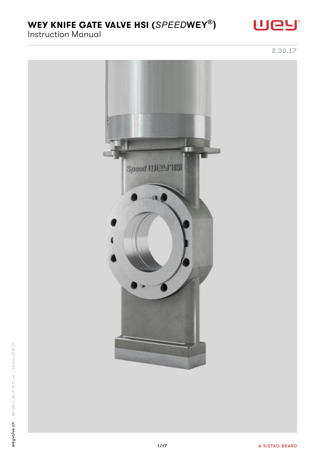Instruction Manual

2.30.17

Uey

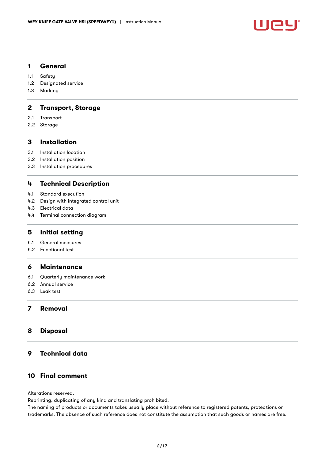

#### 1 [General](#page-2-0)

- 1.1 [Safety](#page-2-1)
- 1.2 [Designated service](#page-2-2)
- 1.3 [Marking](#page-3-0)

## 2 [Transport, Storage](#page-3-1)

- 2.1 [Transport](#page-3-2)
- 2.2 [Storage](#page-3-3)

## 3 [Installation](#page-3-4)

- 3.1 [Installation location](#page-3-5)
- 3.2 [Installation position](#page-3-6)
- 3.3 [Installation procedures](#page-4-0)

#### 4 [Technical Description](#page-7-0)

- 4.1 [Standard execution](#page-7-1)
- 4.2 [Design with integrated control unit](#page-8-0)
- 4.3 [Electrical data](#page-9-0)
- 4.4 [Terminal connection diagram](#page-10-0)

#### 5 [Initial setting](#page-10-1)

- 5.1 [General measures](#page-10-2)
- 5.2 [Functional test](#page-10-3)

#### 6 [Maintenance](#page-12-0)

- 6.1 [Quarterly maintenance work](#page-12-1)
- 6.2 [Annual service](#page-12-2)
- 6.3 [Leak test](#page-14-0)

## 7 [Removal](#page-14-1)

#### 8 [Disposal](#page-14-2)

## 9 [Technical data](#page-15-0)

## 10 [Final comment](#page-16-0)

Alterations reserved.

Reprinting, duplicating of any kind and translating prohibited.

The naming of products or documents takes usually place without reference to registered patents, protections or trademarks. The absence of such reference does not constitute the assumption that such goods or names are free.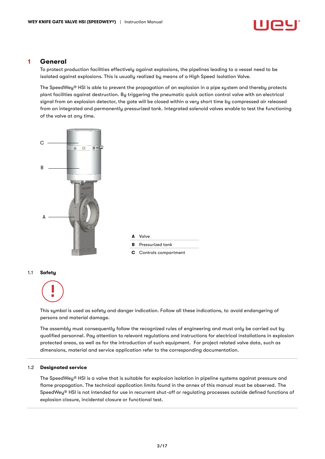

#### <span id="page-2-0"></span>1 General

To protect production facilities effectively against explosions, the pipelines leading to a vessel need to be isolated against explosions. This is usually realized by means of a High Speed Isolation Valve.

The SpeedWey® HSI is able to prevent the propagation of an explosion in a pipe system and thereby protects plant facilities against destruction. By triggering the pneumatic quick action control valve with an electrical signal from an explosion detector, the gate will be closed within a very short time by compressed air released from an integrated and permanently pressurized tank. Integrated solenoid valves enable to test the functioning of the valve at any time.



<span id="page-2-1"></span>This symbol is used as safety and danger indication. Follow all these indications, to avoid endangering of persons and material damage.

The assembly must consequently follow the recognized rules of engineering and must only be carried out by qualified personnel. Pay attention to relevant regulations and instructions for electrical installations in explosion protected areas, as well as for the introduction of such equipment. For project related valve data, such as dimensions, material and service application refer to the corresponding documentation.

#### <span id="page-2-2"></span>1.2 Designated service

The SpeedWey® HSI is a valve that is suitable for explosion isolation in pipeline systems against pressure and flame propagation. The technical application limits found in the annex of this manual must be observed. The SpeedWey® HSI is not intended for use in recurrent shut-off or regulating processes outside defined functions of explosion closure, incidental closure or functional test.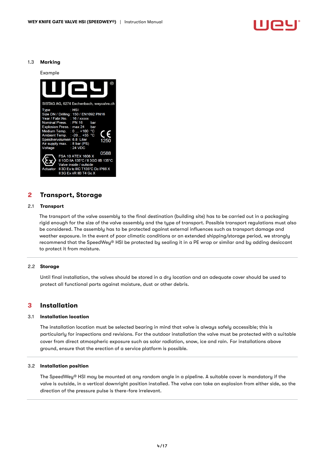

#### <span id="page-3-0"></span>1.3 Marking

Example



## <span id="page-3-1"></span>2 Transport, Storage

#### <span id="page-3-2"></span>2.1 Transport

The transport of the valve assembly to the final destination (building site) has to be carried out in a packaging rigid enough for the size of the valve assembly and the type of transport. Possible transport regulations must also be considered. The assembly has to be protected against external influences such as transport damage and weather exposure. In the event of poor climatic conditions or an extended shipping/storage period, we strongly recommend that the SpeedWey® HSI be protected by sealing it in a PE wrap or similar and by adding desiccant to protect it from moisture.

#### <span id="page-3-3"></span>2.2 Storage

Until final installation, the valves should be stored in a dry location and an adequate cover should be used to protect all functional parts against moisture, dust or other debris.

#### <span id="page-3-4"></span>3 Installation

#### <span id="page-3-5"></span>3.1 Installation location

The installation location must be selected bearing in mind that valve is always safely accessible; this is particularly for inspections and revisions. For the outdoor installation the valve must be protected with a suitable cover from direct atmospheric exposure such as solar radiation, snow, ice and rain. For installations above ground, ensure that the erection of a service platform is possible.

#### <span id="page-3-6"></span>3.2 Installation position

The SpeedWey® HSI may be mounted at any random angle in a pipeline. A suitable cover is mandatory if the valve is outside, in a vertical downright position installed. The valve can take an explosion from either side, so the direction of the pressure pulse is there-fore irrelevant.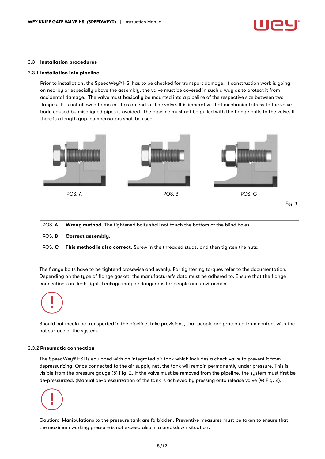#### <span id="page-4-0"></span>3.3 Installation procedures

#### 3.3.1 Installation into pipeline

Prior to installation, the SpeedWey® HSI has to be checked for transport damage. If construction work is going on nearby or especially above the assembly, the valve must be covered in such a way as to protect it from accidental damage. The valve must basically be mounted into a pipeline of the respective size between two flanges. It is not allowed to mount it as an end-of-line valve. It is imperative that mechanical stress to the valve body caused by misaligned pipes is avoided. The pipeline must not be pulled with the flange bolts to the valve. If there is a length gap, compensators shall be used.



| POS. A | <b>Wrong method.</b> The tightened bolts shall not touch the bottom of the blind holes.     |
|--------|---------------------------------------------------------------------------------------------|
|        | POS. B Correct assembly.                                                                    |
| POS. C | <b>This method is also correct.</b> Screw in the threaded studs, and then tighten the nuts. |

The flange bolts have to be tightend crosswise and evenly. For tightening torques refer to the documentation. Depending on the type of flange gasket, the manufacturer's data must be adhered to. Ensure that the flange connections are leak-tight. Leakage may be dangerous for people and environment.

Should hot media be transported in the pipeline, take provisions, that people are protected from contact with the hot surface of the system.

#### 3.3.2 Pneumatic connection

The SpeedWey® HSI is equipped with an integrated air tank which includes a check valve to prevent it from depressurizing. Once connected to the air supply net, the tank will remain permanently under pressure. This is visible from the pressure gauge (5) Fig. 2. If the valve must be removed from the pipeline, the system must first be de-pressurized. (Manual de-pressurization of the tank is achieved by pressing onto release valve (4) Fig. 2).

Caution: Manipulations to the pressure tank are forbidden. Preventive measures must be taken to ensure that the maximum working pressure is not exceed also in a breakdown situation.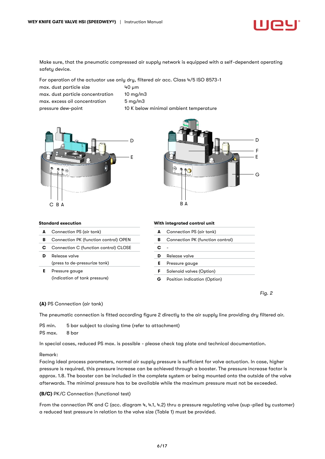

Make sure, that the pneumatic compressed air supply network is equipped with a self-dependent operating safety device.

For operation of the actuator use only dry, filtered air acc. Class 4/5 ISO 8573-1

max. dust particle size 40 µm max. dust particle concentration 10 mg/m3 max. excess oil concentration 5 mg/m3 pressure dew-point 10 K below minimal ambient temperature





#### Standard execution

|  | Connection PS (air tank) |  |
|--|--------------------------|--|
|--|--------------------------|--|

- B Connection PK (function control) OPEN
- C Connection C (function control) CLOSE
- D Release valve
- (press to de-pressurize tank)
- E Pressure gauge (indication of tank pressure)

#### With integrated control unit

| A | Connection PS (air tank)         |
|---|----------------------------------|
| в | Connection PK (function control) |
| с |                                  |
|   | Release valve                    |
| Е | Pressure gauge                   |
| F | Solenoid valves (Option)         |
|   | Position indication (Option)     |

*Fig. 2*

#### (A) PS Connection (air tank)

The pneumatic connection is fitted according figure 2 directly to the air supply line providing dry filtered air.

PS min. 5 bar subject to closing time (refer to attachment) PS max. 8 bar

In special cases, reduced PS max. is possible - please check tag plate and technical documentation.

#### Remark:

Facing ideal process parameters, normal air supply pressure is sufficient for valve actuation. In case, higher pressure is required, this pressure increase can be achieved through a booster. The pressure increase factor is approx. 1.8. The booster can be included in the complete system or being mounted onto the outside of the valve afterwards. The minimal pressure has to be available while the maximum pressure must not be exceeded.

#### (B/C) PK/C Connection (functional test)

From the connection PK and C (acc. diagram 4, 4.1, 4.2) thru a pressure regulating valve (sup-plied by customer) a reduced test pressure in relation to the valve size (Table 1) must be provided.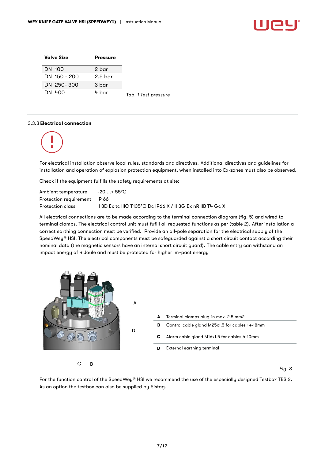| <b>Valve Size</b> | <b>Pressure</b> |                      |
|-------------------|-----------------|----------------------|
| DN 100            | 2 bar           |                      |
| DN 150 - 200      | 2,5 bar         |                      |
| DN 250-300        | 3 bar           |                      |
| DN 400            | 4 bar           | Tab. 1 Test pressure |

#### 3.3.3 Electrical connection



For electrical installation observe local rules, standards and directives. Additional directives and guidelines for installation and operation of explosion protection equipment, when installed into Ex-zones must also be observed.

Check if the equipment fulfills the safety requirements at site:

Ambient temperature -20....+ 55°C Protection requirement IP 66 Protection class II 3D Ex tc IIIC T135°C Dc IP66 X / II 3G Ex nR IIB T4 Gc X

All electrical connections are to be made according to the terminal connection diagram (fig. 5) and wired to terminal clamps. The electrical control unit must fufill all requested functions as per (table 2). After installation a correct earthing connection must be verified. Provide an all-pole separation for the electrical supply of the SpeedWey® HSI. The electrical components must be safeguarded against a short circuit contact according their nominal data (the magnetic sensors have an internal short circuit guard). The cable entry can withstand an impact energy of 4 Joule and must be protected for higher im-pact energy



For the function control of the SpeedWey® HSI we recommend the use of the especially designed Testbox TBS 2. As an option the testbox can also be supplied by Sistag.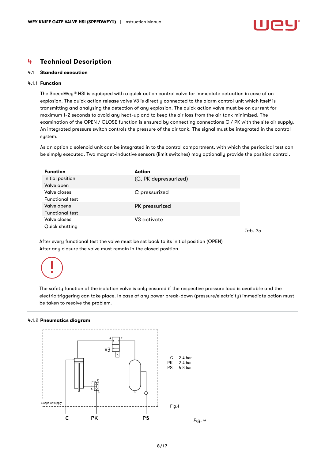## <span id="page-7-0"></span>4 Technical Description

#### <span id="page-7-1"></span>4.1 Standard execution

#### 4.1.1 Function

The SpeedWey® HSI is equipped with a quick action control valve for immediate actuation in case of an explosion. The quick action release valve V3 is directly connected to the alarm control unit which itself is transmitting and analysing the detection of any explosion. The quick action valve must be on current for maximum 1-2 seconds to avoid any heat-up and to keep the air loss from the air tank minimized. The examination of the OPEN / CLOSE function is ensured by connecting connections C / PK with the site air supply. An integrated pressure switch controls the pressure of the air tank. The signal must be integrated in the control system.

As an option a solenoid unit can be integrated in to the control compartment, with which the periodical test can be simply executed. Two magnet-inductive sensors (limit switches) may optionally provide the position control.

| Initial position<br>(C, PK depressurized)<br>Valve open |  |
|---------------------------------------------------------|--|
|                                                         |  |
|                                                         |  |
| Valve closes<br>C pressurized                           |  |
| <b>Functional test</b>                                  |  |
| PK pressurized<br>Valve opens                           |  |
| <b>Functional test</b>                                  |  |
| Valve closes<br>V3 activate                             |  |
| Quick shutting                                          |  |

*Tab. 2a*

After every functional test the valve must be set back to its initial position (OPEN) After any closure the valve must remain in the closed position.



The safety function of the isolation valve is only ensured if the respective pressure load is available and the electric triggering can take place. In case of any power break-down (pressure/electricity) immediate action must be taken to resolve the problem.

#### 4.1.2 Pneumatics diagram

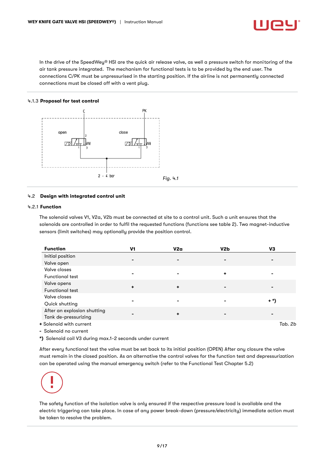

In the drive of the SpeedWey® HSI are the quick air release valve, as well a pressure switch for monitoring of the air tank pressure integrated. The mechanism for functional tests is to be provided by the end user. The connections C/PK must be unpressurised in the starting position. If the airline is not permanently connected connections must be closed off with a vent plug.

#### 4.1.3 Proposal for test control



#### <span id="page-8-0"></span>4.2 Design with integrated control unit

#### 4.2.1 Function

The solenoid valves V1, V2a, V2b must be connected at site to a control unit. Such a unit ensures that the solenoids are controlled in order to fulfil the requested functions (functions see table 2). Two magnet-inductive sensors (limit switches) may optionally provide the position control.

| <b>Function</b>                    | V1 | V2a | V2b | V3      |
|------------------------------------|----|-----|-----|---------|
| Initial position                   |    | ۰   | -   |         |
| Valve open                         |    |     |     |         |
| Valve closes                       |    |     |     |         |
| <b>Functional test</b>             | -  |     | ٠   |         |
| Valve opens                        |    |     |     |         |
| <b>Functional test</b>             | ٠  | ۰   |     |         |
| Valve closes                       |    |     |     |         |
| Quick shutting                     |    |     |     | $+$ *)  |
| After an explosion shutting        |    |     |     |         |
| Tank de-pressurizing               |    | ٠   |     |         |
| + Solenoid with current            |    |     |     | Tab. 2b |
| $\sim$ $\sim$ $\sim$ $\sim$ $\sim$ |    |     |     |         |

- Solenoid no current

\*) Solenoid coil V3 during max.1-2 seconds under current

After every functional test the valve must be set back to its initial position (OPEN) After any closure the valve must remain in the closed position. As an alternative the control valves for the function test and depressurization can be operated using the manual emergency switch (refer to the Functional Test Chapter 5.2)

The safety function of the isolation valve is only ensured if the respective pressure load is available and the electric triggering can take place. In case of any power break-down (pressure/electricity) immediate action must be taken to resolve the problem.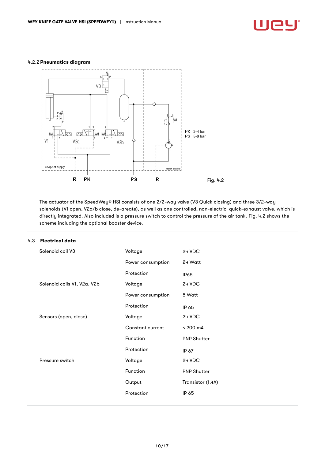## <u>Uey</u>

## 4.2.2 Pneumatics diagram



The actuator of the SpeedWey® HSI consists of one 2/2-way valve (V3 Quick closing) and three 3/2-way solenoids (V1 open, V2a/b close, de-areate), as well as one controlled, non-electric quick-exhaust valve, which is directly integrated. Also included is a pressure switch to control the pressure of the air tank. Fig. 4.2 shows the scheme including the optional booster device.

| .3 | <b>Electrical data</b>      |                   |                    |
|----|-----------------------------|-------------------|--------------------|
|    | Solenoid coil V3            | Voltage           | 24 VDC             |
|    |                             | Power consumption | 24 Watt            |
|    |                             | Protection        | <b>IP65</b>        |
|    | Solenoid coils V1, V2a, V2b | Voltage           | 24 VDC             |
|    |                             | Power consumption | 5 Watt             |
|    |                             | Protection        | IP 65              |
|    | Sensors (open, close)       | Voltage           | 24 VDC             |
|    |                             | Constant current  | < 200 mA           |
|    |                             | Function          | <b>PNP Shutter</b> |
|    |                             | Protection        | IP 67              |
|    | Pressure switch             | Voltage           | 24 VDC             |
|    |                             | Function          | <b>PNP Shutter</b> |
|    |                             | Output            | Transistor (1.4A)  |
|    |                             | Protection        | IP 65              |
|    |                             |                   |                    |

#### <span id="page-9-0"></span>4.3 Electrical data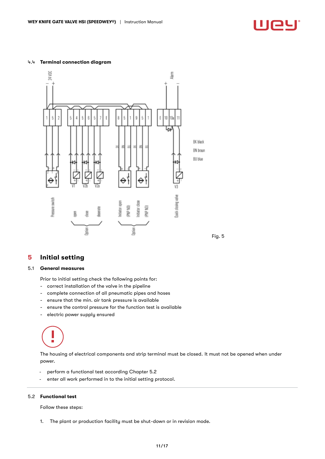#### <span id="page-10-0"></span>4.4 Terminal connection diagram



## <span id="page-10-1"></span>5 Initial setting

#### <span id="page-10-2"></span>5.1 General measures

Prior to initial setting check the following points for:

- correct installation of the valve in the pipeline
- complete connection of all pneumatic pipes and hoses
- ensure that the min. air tank pressure is available
- ensure the control pressure for the function test is available
- electric power supply ensured

# É

The housing of electrical components and strip terminal must be closed. It must not be opened when under power.

- perform a functional test according Chapter 5.2
- enter all work performed in to the initial setting protocol.

#### <span id="page-10-3"></span>5.2 Functional test

Follow these steps:

1. The plant or production facility must be shut-down or in revision mode.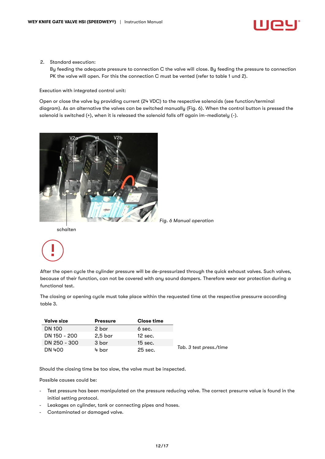

2. Standard execution:

By feeding the adequate pressure to connection C the valve will close. By feeding the pressure to connection PK the valve will open. For this the connection C must be vented (refer to table 1 und 2).

Execution with integrated control unit:

Open or close the valve by providing current (24 VDC) to the respective solenoids (see function/terminal diagram). As an alternative the valves can be switched manually (Fig. 6). When the control button is pressed the solenoid is switched (+), when it is released the solenoid falls off again im-mediately (-).



*Fig. 6 Manual operation*

schalten

After the open cycle the cylinder pressure will be de-pressurized through the quick exhaust valves. Such valves, because of their function, can not be covered with any sound dampers. Therefore wear ear protection during a functional test.

The closing or opening cycle must take place within the requested time at the respective pressurre according table 3.

| <b>Valve size</b> | <b>Pressure</b>     | <b>Close time</b> |                         |
|-------------------|---------------------|-------------------|-------------------------|
| <b>DN 100</b>     | 2 bar               | 6 sec.            |                         |
| DN 150 - 200      | $2.5\,\mathrm{bar}$ | $12$ sec.         |                         |
| DN 250 - 300      | 3 bar               | $15$ sec.         |                         |
| DN 400            | 4 bar               | $25$ sec.         | Tab. 3 test press./time |

Should the closing time be too slow, the valve must be inspected.

Possible causes could be:

- Test pressure has been manipulated on the pressure reducing valve. The correct presurre value is found in the initial setting protocol.
- Leakages on cylinder, tank or connecting pipes and hoses.
- Contaminated or damaged valve.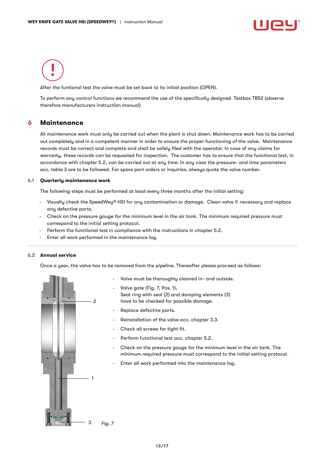After the funtional test the valve must be set back to its initial position (OPEN).

To perform any control functions we recommend the use of the specifically designed Testbox TBS2 (observe therefore manufacturers instruction manual)

## <span id="page-12-0"></span>6 Maintenance

All maintenance work must only be carried out when the plant is shut down. Maintenance work has to be carried out completely and in a competent manner in order to ensure the proper functioning of the valve. Maintenance records must be correct and complete and shall be safely filed with the operator. In case of any claims for warranty, these records can be requested for inspection. The customer has to ensure that the functional test, in accordance with chapter 5.2, can be carried out at any time. In any case the pressure- and time parameters acc. table 3 are to be followed. For spare part orders or inquiries, always quote the valve number.

#### <span id="page-12-1"></span>6.1 Quarterly maintenance work

The following steps must be performed at least every three months after the initial setting:

- Visually check the SpeedWey® HSI for any contamination or damage. Clean valve if necessary and replace any defective parts.
- Check on the pressure gauge for the minimum level in the air tank. The minimum required pressure must correspond to the initial setting protocol.
- Perform the functional test in compliance with the instructions in chapter 5.2.
- Enter all work performed in the maintenance log.

#### <span id="page-12-2"></span>6.2 Annual service

Once a year, the valve has to be removed from the pipeline. Thereafter please proceed as follows:



- Valve must be thoroughly cleaned in- and outside.
- Valve gate (Fig. 7, Pos. 1), Seat ring with seal (2) and damping elements (3) have to be checked for possible damage.
- Replace defective parts.
- Reinstallation of the valve acc. chapter 3.3.
- Check all screws for tight fit.
- Perform functional test acc. chapter 5.2.
- Check on the pressure gauge for the minimum level in the air tank. The minimum required pressure must correspond to the initial setting protocol.
- Enter all work performed into the maintenance log.

*Fig. 7*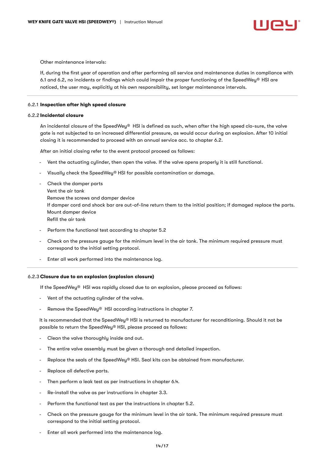Other maintenance intervals:

If, during the first year of operation and after performing all service and maintenance duties in compliance with 6.1 and 6.2, no incidents or findings which could impair the proper functioning of the SpeedWey® HSI are noticed, the user may, explicitly at his own responsibility, set longer maintenance intervals.

#### 6.2.1 Inspection after high speed closure

#### 6.2.2 Incidental closure

An incidental closure of the SpeedWey® HSI is defined as such, when after the high speed clo-sure, the valve gate is not subjected to an increased differential pressure, as would occur during an explosion. After 10 initial closing it is recommended to proceed with an annual service acc. to chapter 6.2.

After an initial closing refer to the event protocol proceed as follows:

- Vent the actuating cylinder, then open the valve. If the valve opens properly it is still functional.
- Visually check the SpeedWey® HSI for possible contamination or damage.
- Check the damper parts Vent the air tank Remove the screws and damper device If damper cord and shock bar are out-of-line return them to the initial position; if damaged replace the parts. Mount damper device Refill the air tank
- Perform the functional test according to chapter 5.2
- Check on the pressure gauge for the minimum level in the air tank. The minimum required pressure must correspond to the initial setting protocol.
- Enter all work performed into the maintenance log.

#### 6.2.3 Closure due to an explosion (explosion closure)

If the SpeedWey® HSI was rapidly closed due to an explosion, please proceed as follows:

- Vent of the actuating cylinder of the valve.
- Remove the SpeedWeu® HSI according instructions in chapter 7.

It is recommended that the SpeedWey® HSI is returned to manufacturer for reconditioning. Should it not be possible to return the SpeedWey® HSI, please proceed as follows:

- Clean the valve thoroughly inside and out.
- The entire valve assembly must be given a thorough and detailed inspection.
- Replace the seals of the SpeedWey® HSI. Seal kits can be obtained from manufacturer.
- Replace all defective parts.
- Then perform a leak test as per instructions in chapter 6.4.
- Re-install the valve as per instructions in chapter 3.3.
- Perform the functional test as per the instructions in chapter 5.2.
- Check on the pressure gauge for the minimum level in the air tank. The minimum required pressure must correspond to the initial setting protocol.
- Enter all work performed into the maintenance log.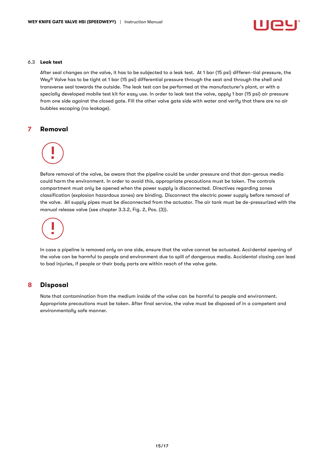

#### <span id="page-14-0"></span>6.3 Leak test

After seal changes on the valve, it has to be subjected to a leak test. At 1 bar (15 psi) differen-tial pressure, the Wey® Valve has to be tight at 1 bar (15 psi) differential pressure through the seat and through the shell and transverse seal towards the outside. The leak test can be performed at the manufacturer's plant, or with a specially developed mobile test kit for easy use. In order to leak test the valve, apply 1 bar (15 psi) air pressure from one side against the closed gate. Fill the other valve gate side with water and verify that there are no air bubbles escaping (no leakage).

#### <span id="page-14-1"></span>7 Removal

Before removal of the valve, be aware that the pipeline could be under pressure and that dan-gerous media could harm the environment. In order to avoid this, appropriate precautions must be taken. The controls compartment must only be opened when the power supply is disconnected. Directives regarding zones classification (explosion hazardous zones) are binding. Disconnect the electric power supply before removal of the valve. All supply pipes must be disconnected from the actuator. The air tank must be de-pressurized with the manual release valve (see chapter 3.3.2, Fig. 2, Pos. (3)).

In case a pipeline is removed only on one side, ensure that the valve cannot be actuated. Accidental opening of the valve can be harmful to people and environment due to spill of dangerous media. Accidental closing can lead to bad injuries, if people or their body parts are within reach of the valve gate.

## <span id="page-14-2"></span>8 Disposal

Note that contamination from the medium inside of the valve can be harmful to people and environment. Appropriate precautions must be taken. After final service, the valve must be disposed of in a competent and environmentally safe manner.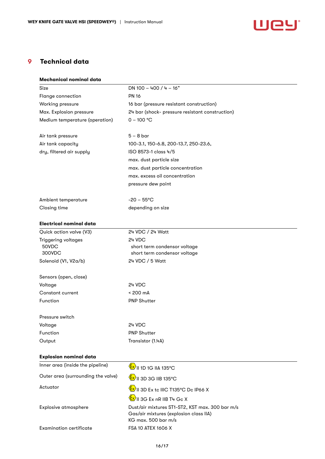

## <span id="page-15-0"></span>9 Technical data

| Mechanical nominal data            |                                                                                |
|------------------------------------|--------------------------------------------------------------------------------|
| Size                               | DN 100 - 400 / 4 - 16"                                                         |
| Flange connection                  | <b>PN 16</b>                                                                   |
| Working pressure                   | 16 bar (pressure resistant construction)                                       |
| Max. Explosion pressure            | 24 bar (shock- pressure resistant construction)                                |
| Medium temperature (operation)     | $0 - 100 °C$                                                                   |
|                                    |                                                                                |
| Air tank pressure                  | $5 - 8$ bar                                                                    |
| Air tank capacity                  | 100-3.1, 150-6.8, 200-13.7, 250-23.6,                                          |
| dry, filtered air supply           | ISO 8573-1 class 4/5                                                           |
|                                    | max. dust particle size                                                        |
|                                    | max. dust particle concentration                                               |
|                                    | max. excess oil concentration                                                  |
|                                    | pressure dew point                                                             |
| Ambient temperature                | $-20 - 55^{\circ}$ C                                                           |
| Closing time                       | depending on size                                                              |
|                                    |                                                                                |
| Electrical nominal data            |                                                                                |
| Quick action valve (V3)            | 24 VDC / 24 Watt                                                               |
| Triggering voltages                | 24 VDC                                                                         |
| 50VDC                              | short term condensor voltage                                                   |
| 300VDC                             | short term condensor voltage                                                   |
| Solenoid (V1, V2a/b)               | 24 VDC / 5 Watt                                                                |
| Sensors (open, close)              |                                                                                |
| Voltage                            | 24 VDC                                                                         |
| Constant current                   | $< 200 \text{ mA}$                                                             |
| Function                           | <b>PNP Shutter</b>                                                             |
| Pressure switch                    |                                                                                |
| Voltage                            | 24 VDC                                                                         |
| Function                           | <b>PNP Shutter</b>                                                             |
| Output                             | Transistor (1.4A)                                                              |
|                                    |                                                                                |
| <b>Explosion nominal data</b>      |                                                                                |
| Inner area (inside the pipeline)   | <b>Ex</b> II 1D 1G IIA 135°C                                                   |
| Outer area (surrounding the valve) | $\frac{\mathcal{E}}{\mathcal{E}}$ ll 3D 3G IIB 135°C                           |
| Actuator                           | $\frac{\mathcal{L} \mathbf{x}}{\mathcal{L}}$ II 3D Ex tc IIIC T135°C Dc IP66 X |
|                                    | $\langle \frac{\xi x}{2} \rangle$ II 3G Ex nR IIB T4 Gc X                      |
| Explosive atmosphere               | Dust/air mixtures ST1-ST2, KST max. 300 bar m/s                                |
|                                    | Gas/air mixtures (explosion class IIA)                                         |
|                                    | KG max. 500 bar m/s                                                            |
| <b>Examination certificate</b>     | FSA 10 ATEX 1606 X                                                             |
|                                    |                                                                                |